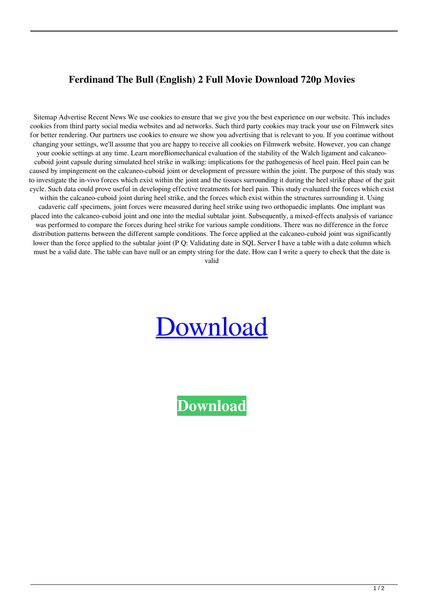## **Ferdinand The Bull (English) 2 Full Movie Download 720p Movies**

Sitemap Advertise Recent News We use cookies to ensure that we give you the best experience on our website. This includes cookies from third party social media websites and ad networks. Such third party cookies may track your use on Filmwerk sites for better rendering. Our partners use cookies to ensure we show you advertising that is relevant to you. If you continue without changing your settings, we'll assume that you are happy to receive all cookies on Filmwerk website. However, you can change your cookie settings at any time. Learn moreBiomechanical evaluation of the stability of the Walch ligament and calcaneocuboid joint capsule during simulated heel strike in walking: implications for the pathogenesis of heel pain. Heel pain can be caused by impingement on the calcaneo-cuboid joint or development of pressure within the joint. The purpose of this study was to investigate the in-vivo forces which exist within the joint and the tissues surrounding it during the heel strike phase of the gait cycle. Such data could prove useful in developing effective treatments for heel pain. This study evaluated the forces which exist within the calcaneo-cuboid joint during heel strike, and the forces which exist within the structures surrounding it. Using cadaveric calf specimens, joint forces were measured during heel strike using two orthopaedic implants. One implant was placed into the calcaneo-cuboid joint and one into the medial subtalar joint. Subsequently, a mixed-effects analysis of variance was performed to compare the forces during heel strike for various sample conditions. There was no difference in the force distribution patterns between the different sample conditions. The force applied at the calcaneo-cuboid joint was significantly lower than the force applied to the subtalar joint (P Q: Validating date in SQL Server I have a table with a date column which must be a valid date. The table can have null or an empty string for the date. How can I write a query to check that the date is valid

## [Download](http://evacdir.com/cacophonous/chaplains/?coulde=theodosius/echostar/ZG93bmxvYWR8SncyTVdNNGFIeDhNVFkxTWpjME1EZzJObng4TWpVM05IeDhLRTBwSUhKbFlXUXRZbXh2WnlCYlJtRnpkQ0JIUlU1ZA/RmVyZGluYW5kIFRoZSBCdWxsIChFbmdsaXNoKSAyIGZ1bGwgbW92aWUgZG93bmxvYWQgNzIwcCBtb3ZpZXMRmV.confidants.)

**[Download](http://evacdir.com/cacophonous/chaplains/?coulde=theodosius/echostar/ZG93bmxvYWR8SncyTVdNNGFIeDhNVFkxTWpjME1EZzJObng4TWpVM05IeDhLRTBwSUhKbFlXUXRZbXh2WnlCYlJtRnpkQ0JIUlU1ZA/RmVyZGluYW5kIFRoZSBCdWxsIChFbmdsaXNoKSAyIGZ1bGwgbW92aWUgZG93bmxvYWQgNzIwcCBtb3ZpZXMRmV.confidants.)**